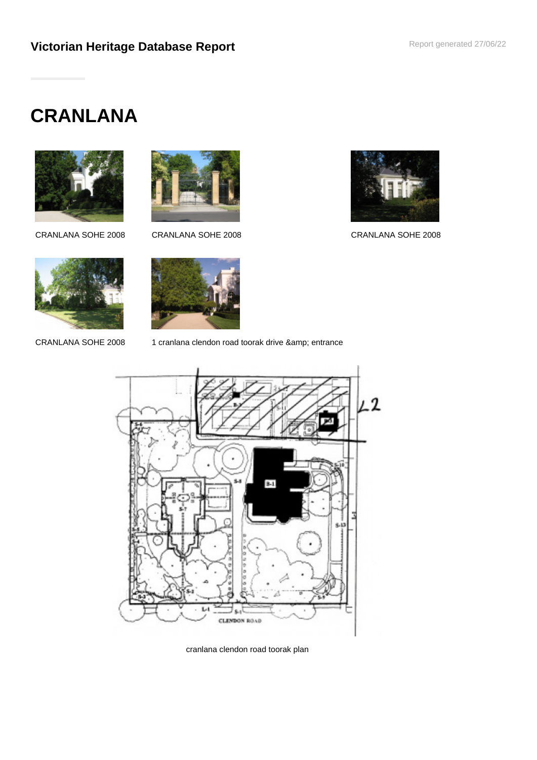# **CRANLANA**



CRANLANA SOHE 2008 CRANLANA SOHE 2008 CRANLANA SOHE 2008





CRANLANA SOHE 2008 1 cranlana clendon road toorak drive & amp; entrance



cranlana clendon road toorak plan

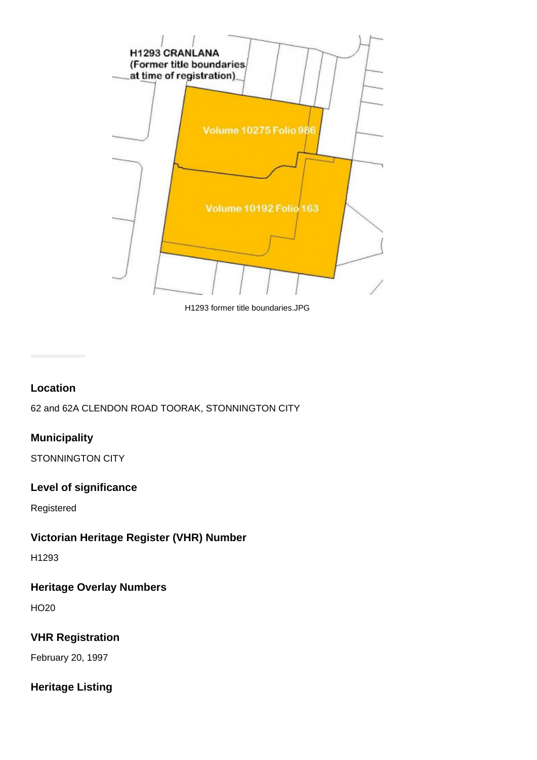

H1293 former title boundaries.JPG

#### **Location**

62 and 62A CLENDON ROAD TOORAK, STONNINGTON CITY

#### **Municipality**

STONNINGTON CITY

#### **Level of significance**

Registered

#### **Victorian Heritage Register (VHR) Number**

H1293

#### **Heritage Overlay Numbers**

HO20

#### **VHR Registration**

February 20, 1997

### **Heritage Listing**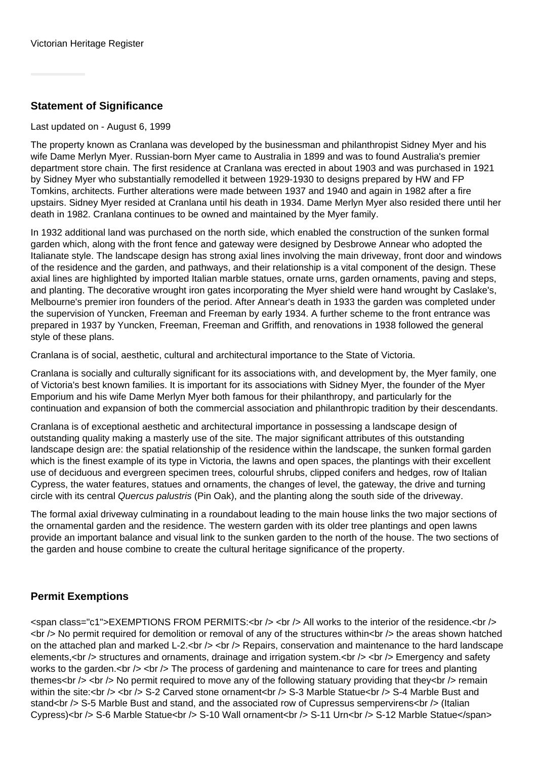#### **Statement of Significance**

#### Last updated on - August 6, 1999

The property known as Cranlana was developed by the businessman and philanthropist Sidney Myer and his wife Dame Merlyn Myer. Russian-born Myer came to Australia in 1899 and was to found Australia's premier department store chain. The first residence at Cranlana was erected in about 1903 and was purchased in 1921 by Sidney Myer who substantially remodelled it between 1929-1930 to designs prepared by HW and FP Tomkins, architects. Further alterations were made between 1937 and 1940 and again in 1982 after a fire upstairs. Sidney Myer resided at Cranlana until his death in 1934. Dame Merlyn Myer also resided there until her death in 1982. Cranlana continues to be owned and maintained by the Myer family.

In 1932 additional land was purchased on the north side, which enabled the construction of the sunken formal garden which, along with the front fence and gateway were designed by Desbrowe Annear who adopted the Italianate style. The landscape design has strong axial lines involving the main driveway, front door and windows of the residence and the garden, and pathways, and their relationship is a vital component of the design. These axial lines are highlighted by imported Italian marble statues, ornate urns, garden ornaments, paving and steps, and planting. The decorative wrought iron gates incorporating the Myer shield were hand wrought by Caslake's, Melbourne's premier iron founders of the period. After Annear's death in 1933 the garden was completed under the supervision of Yuncken, Freeman and Freeman by early 1934. A further scheme to the front entrance was prepared in 1937 by Yuncken, Freeman, Freeman and Griffith, and renovations in 1938 followed the general style of these plans.

Cranlana is of social, aesthetic, cultural and architectural importance to the State of Victoria.

Cranlana is socially and culturally significant for its associations with, and development by, the Myer family, one of Victoria's best known families. It is important for its associations with Sidney Myer, the founder of the Myer Emporium and his wife Dame Merlyn Myer both famous for their philanthropy, and particularly for the continuation and expansion of both the commercial association and philanthropic tradition by their descendants.

Cranlana is of exceptional aesthetic and architectural importance in possessing a landscape design of outstanding quality making a masterly use of the site. The major significant attributes of this outstanding landscape design are: the spatial relationship of the residence within the landscape, the sunken formal garden which is the finest example of its type in Victoria, the lawns and open spaces, the plantings with their excellent use of deciduous and evergreen specimen trees, colourful shrubs, clipped conifers and hedges, row of Italian Cypress, the water features, statues and ornaments, the changes of level, the gateway, the drive and turning circle with its central Quercus palustris (Pin Oak), and the planting along the south side of the driveway.

The formal axial driveway culminating in a roundabout leading to the main house links the two major sections of the ornamental garden and the residence. The western garden with its older tree plantings and open lawns provide an important balance and visual link to the sunken garden to the north of the house. The two sections of the garden and house combine to create the cultural heritage significance of the property.

#### **Permit Exemptions**

<span class="c1">EXEMPTIONS FROM PERMITS:<br /> ><br /> <br />> All works to the interior of the residence.<br /> <br /> No permit required for demolition or removal of any of the structures within<br /> the areas shown hatched on the attached plan and marked L-2.<br />> <br />> Repairs, conservation and maintenance to the hard landscape elements,<br /> structures and ornaments, drainage and irrigation system.<br />> <br />> <br /> Emergency and safety works to the garden. $\langle$ br  $\rangle$   $\langle$   $>$  The process of gardening and maintenance to care for trees and planting themes<br />> <br /> No permit required to move any of the following statuary providing that they<br />> remain within the site:<br />> <br /> S-2 Carved stone ornament<br />> S-3 Marble Statue<br />> S-4 Marble Bust and stand<br />S-5 Marble Bust and stand, and the associated row of Cupressus sempervirens<br />>/> (Italian Cypress)<br />> S-6 Marble Statue<br />> S-10 Wall ornament<br />> S-11 Urn<br />
s-12 Marble Statue</span>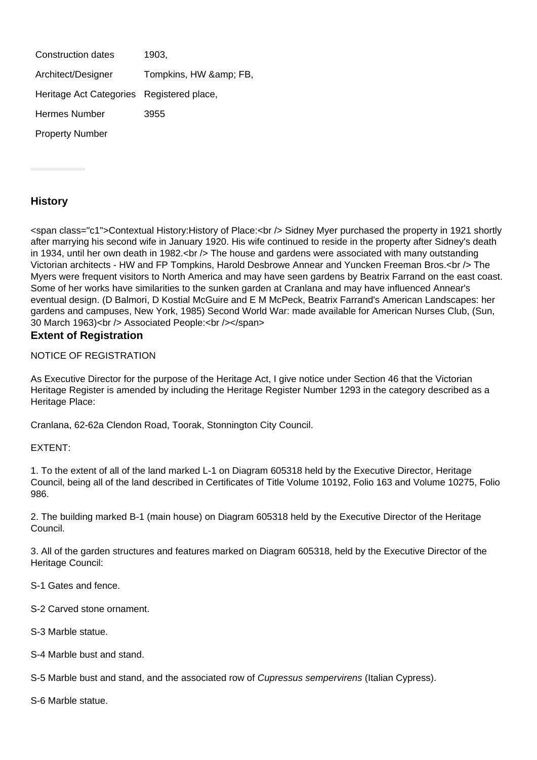| Construction dates                        | 1903,              |
|-------------------------------------------|--------------------|
| Architect/Designer                        | Tompkins, HW & FB, |
| Heritage Act Categories Registered place, |                    |
| <b>Hermes Number</b>                      | 3955               |
| <b>Property Number</b>                    |                    |

#### **History**

<span class="c1">Contextual History:History of Place:<br /> Sidney Myer purchased the property in 1921 shortly after marrying his second wife in January 1920. His wife continued to reside in the property after Sidney's death in 1934, until her own death in 1982.<br />
other house and gardens were associated with many outstanding Victorian architects - HW and FP Tompkins, Harold Desbrowe Annear and Yuncken Freeman Bros.<br /> The Myers were frequent visitors to North America and may have seen gardens by Beatrix Farrand on the east coast. Some of her works have similarities to the sunken garden at Cranlana and may have influenced Annear's eventual design. (D Balmori, D Kostial McGuire and E M McPeck, Beatrix Farrand's American Landscapes: her gardens and campuses, New York, 1985) Second World War: made available for American Nurses Club, (Sun, 30 March 1963)<br />
lets Associated People:<br />
lets />
lets />
span> **Extent of Registration**

## NOTICE OF REGISTRATION

### As Executive Director for the purpose of the Heritage Act, I give notice under Section 46 that the Victorian Heritage Register is amended by including the Heritage Register Number 1293 in the category described as a

Heritage Place:

Cranlana, 62-62a Clendon Road, Toorak, Stonnington City Council.

#### EXTENT:

1. To the extent of all of the land marked L-1 on Diagram 605318 held by the Executive Director, Heritage Council, being all of the land described in Certificates of Title Volume 10192, Folio 163 and Volume 10275, Folio 986.

2. The building marked B-1 (main house) on Diagram 605318 held by the Executive Director of the Heritage Council.

3. All of the garden structures and features marked on Diagram 605318, held by the Executive Director of the Heritage Council:

- S-1 Gates and fence.
- S-2 Carved stone ornament.
- S-3 Marble statue.
- S-4 Marble bust and stand.

S-5 Marble bust and stand, and the associated row of *Cupressus sempervirens* (Italian Cypress).

S-6 Marble statue.